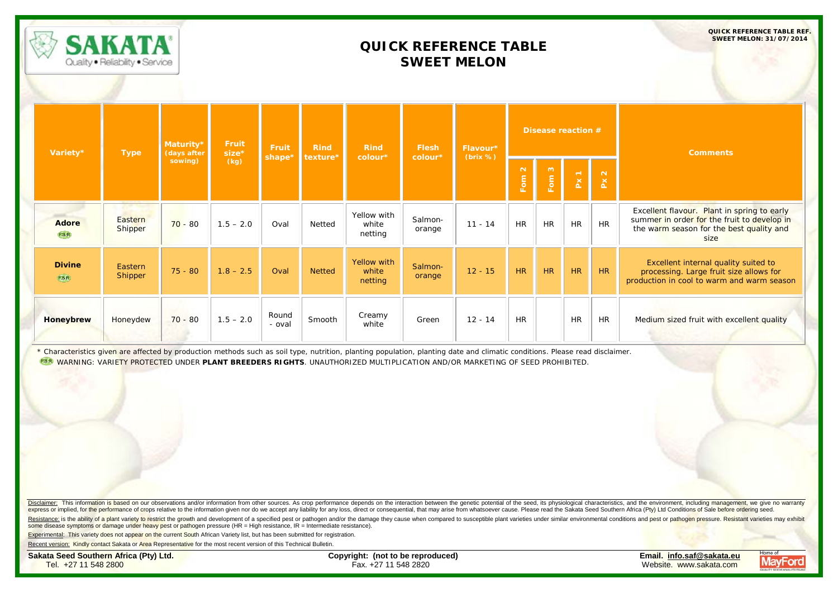|                        | <b>SAKATA</b><br>Quality . Reliability . Service |                          |                  |                 |               | <b>QUICK REFERENCE TABLE REF.</b><br><b>SWEET MELON: 31/07/2014</b> |                   |                      |                     |           |           |             |                                                                                                                                                |
|------------------------|--------------------------------------------------|--------------------------|------------------|-----------------|---------------|---------------------------------------------------------------------|-------------------|----------------------|---------------------|-----------|-----------|-------------|------------------------------------------------------------------------------------------------------------------------------------------------|
| Variety*               | <b>Type</b>                                      | Maturity*<br>(days after | Fruit<br>$size*$ | Fruit           | <b>Rind</b>   | <b>Rind</b>                                                         | <b>Flesh</b>      | Flavour*<br>(brix %) | Disease reaction #  |           |           |             | <b>Comments</b>                                                                                                                                |
|                        |                                                  | sowing)                  | (kg)             | shape*          | texture*      | colour*                                                             | colour*           |                      | $\mathbf{N}$<br>Fom | Fom 3     | $Px$ 1    | $P\times 2$ |                                                                                                                                                |
| <b>Adore</b><br>P.B.R. | Eastern<br>Shipper                               | $70 - 80$                | $1.5 - 2.0$      | Oval            | Netted        | Yellow with<br>white<br>netting                                     | Salmon-<br>orange | $11 - 14$            | <b>HR</b>           | <b>HR</b> | <b>HR</b> | <b>HR</b>   | Excellent flavour. Plant in spring to early<br>summer in order for the fruit to develop in<br>the warm season for the best quality and<br>size |
| <b>Divine</b><br>P.B.R | Eastern<br>Shipper                               | $75 - 80$                | $1.8 - 2.5$      | Oval            | <b>Netted</b> | <b>Yellow with</b><br>white<br>netting                              | Salmon-<br>orange | $12 - 15$            | HR                  | HR        | HR        | HR          | Excellent internal quality suited to<br>processing. Large fruit size allows for<br>production in cool to warm and warm season                  |
| Honeybrew              | Honeydew                                         | $70 - 80$                | $1.5 - 2.0$      | Round<br>- oval | Smooth        | Creamy<br>white                                                     | Green             | $12 - 14$            | <b>HR</b>           |           | <b>HR</b> | <b>HR</b>   | Medium sized fruit with excellent quality                                                                                                      |

\* Characteristics given are affected by production methods such as soil type, nutrition, planting population, planting date and climatic conditions. Please read disclaimer. WARNING: VARIETY PROTECTED UNDER **PLANT BREEDERS RIGHTS**. UNAUTHORIZED MULTIPLICATION AND/OR MARKETING OF SEED PROHIBITED.

Disclaimer: This information is based on our observations and/or information from other sources. As crop performance depends on the interaction between the genetic potential of the seed, its physiological characteristics, express or implied, for the performance of crops relative to the information given nor do we accept any liability for any loss, direct or consequential, that may arise from whatsoever cause. Please read the Sakata Seed Sou

Resistance: is the ability of a plant variety to restrict the growth and development of a specified pest or pathogen and/or the damage they cause when compared to susceptible plant varieties under similar environmental con some disease symptoms or damage under heavy pest or pathogen pressure (HR = High resistance, IR = Intermediate resistance).

**Experimental:** This variety does not appear on the current South African Variety list, but has been submitted for registration.

Recent version: Kindly contact Sakata or Area Representative for the most recent version of this Technical Bulletin.

**Sakata Seed Southern Africa (Pty) Ltd. Copyright: (not to be reproduced) Email. [info.saf@sakata.eu](mailto:info.saf@sakata.eu)**